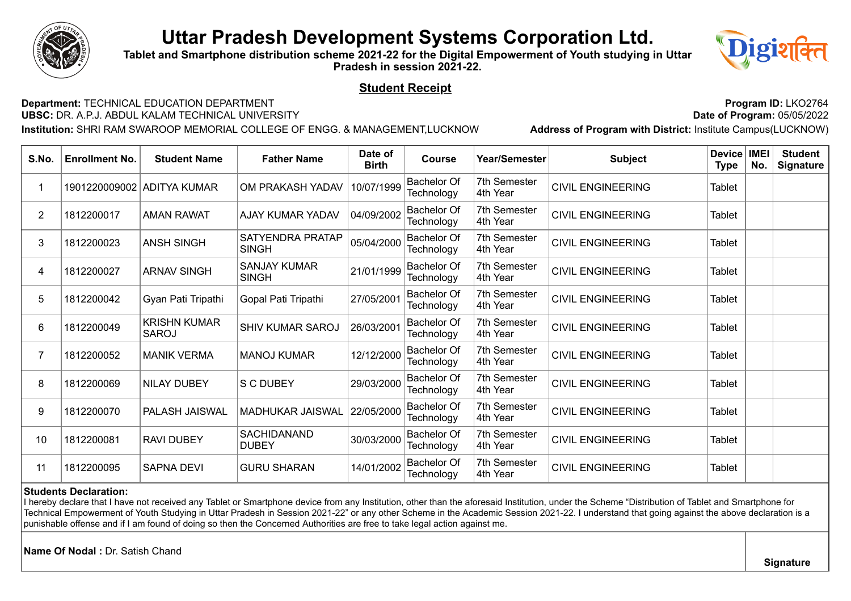

**Tablet and Smartphone distribution scheme 2021-22 for the Digital Empowerment of Youth studying in Uttar Pradesh in session 2021-22.**



### **Student Receipt**

**Department:** TECHNICAL EDUCATION DEPARTMENT **Program Program ID:** LKO2764<br>**UBSC:** DR. A.P.J. ABDUL KALAM TECHNICAL UNIVERSITY **Program Program**: 05/05/2022 **UBSC:** DR. A.P.J. ABDUL KALAM TECHNICAL UNIVERSITY **Date of Program:** 05/05/2022

**Institution:** SHRI RAM SWAROOP MEMORIAL COLLEGE OF ENGG. & MANAGEMENT,LUCKNOW **Address of Program with District:** Institute Campus(LUCKNOW)

| S.No.          | <b>Enrollment No.</b>        | <b>Student Name</b>                 | <b>Father Name</b>                  | Date of<br><b>Birth</b> | <b>Course</b>                    | Year/Semester                   | <b>Subject</b>                                                                                                                                                                                                                                                                                                                                                                                    | Device<br><b>Type</b> | <b>IMEI</b><br>No. | <b>Student</b><br><b>Signature</b> |
|----------------|------------------------------|-------------------------------------|-------------------------------------|-------------------------|----------------------------------|---------------------------------|---------------------------------------------------------------------------------------------------------------------------------------------------------------------------------------------------------------------------------------------------------------------------------------------------------------------------------------------------------------------------------------------------|-----------------------|--------------------|------------------------------------|
|                |                              | 1901220009002 ADITYA KUMAR          | OM PRAKASH YADAV                    | 10/07/1999              | <b>Bachelor Of</b><br>Technology | 7th Semester<br>4th Year        | <b>CIVIL ENGINEERING</b>                                                                                                                                                                                                                                                                                                                                                                          | <b>Tablet</b>         |                    |                                    |
| $\overline{2}$ | 1812200017                   | <b>AMAN RAWAT</b>                   | AJAY KUMAR YADAV                    | 04/09/2002              | <b>Bachelor Of</b><br>Technology | 7th Semester<br>4th Year        | <b>CIVIL ENGINEERING</b>                                                                                                                                                                                                                                                                                                                                                                          | <b>Tablet</b>         |                    |                                    |
| 3              | 1812200023                   | <b>ANSH SINGH</b>                   | SATYENDRA PRATAP<br><b>SINGH</b>    | 05/04/2000              | <b>Bachelor Of</b><br>Technology | 7th Semester<br>4th Year        | <b>CIVIL ENGINEERING</b>                                                                                                                                                                                                                                                                                                                                                                          | <b>Tablet</b>         |                    |                                    |
| 4              | 1812200027                   | <b>ARNAV SINGH</b>                  | <b>SANJAY KUMAR</b><br><b>SINGH</b> | 21/01/1999              | <b>Bachelor Of</b><br>Technology | 7th Semester<br>4th Year        | <b>CIVIL ENGINEERING</b>                                                                                                                                                                                                                                                                                                                                                                          | <b>Tablet</b>         |                    |                                    |
| 5.             | 1812200042                   | Gyan Pati Tripathi                  | Gopal Pati Tripathi                 | 27/05/2001              | <b>Bachelor Of</b><br>Technology | 7th Semester<br>4th Year        | <b>CIVIL ENGINEERING</b>                                                                                                                                                                                                                                                                                                                                                                          | <b>Tablet</b>         |                    |                                    |
| 6              | 1812200049                   | <b>KRISHN KUMAR</b><br><b>SAROJ</b> | <b>SHIV KUMAR SAROJ</b>             | 26/03/2001              | <b>Bachelor Of</b><br>Technology | 7th Semester<br>4th Year        | <b>CIVIL ENGINEERING</b>                                                                                                                                                                                                                                                                                                                                                                          | Tablet                |                    |                                    |
|                | 1812200052                   | <b>MANIK VERMA</b>                  | <b>MANOJ KUMAR</b>                  | 12/12/2000              | <b>Bachelor Of</b><br>Technology | 7th Semester<br>4th Year        | <b>CIVIL ENGINEERING</b>                                                                                                                                                                                                                                                                                                                                                                          | <b>Tablet</b>         |                    |                                    |
| 8              | 1812200069                   | <b>NILAY DUBEY</b>                  | <b>S C DUBEY</b>                    | 29/03/2000              | <b>Bachelor Of</b><br>Technology | <b>7th Semester</b><br>4th Year | <b>CIVIL ENGINEERING</b>                                                                                                                                                                                                                                                                                                                                                                          | <b>Tablet</b>         |                    |                                    |
| 9              | 1812200070                   | PALASH JAISWAL                      | <b>MADHUKAR JAISWAL</b>             | 22/05/2000              | <b>Bachelor Of</b><br>Technology | 7th Semester<br>4th Year        | <b>CIVIL ENGINEERING</b>                                                                                                                                                                                                                                                                                                                                                                          | <b>Tablet</b>         |                    |                                    |
| 10             | 1812200081                   | <b>RAVI DUBEY</b>                   | SACHIDANAND<br><b>DUBEY</b>         | 30/03/2000              | <b>Bachelor Of</b><br>Technology | 7th Semester<br>4th Year        | <b>CIVIL ENGINEERING</b>                                                                                                                                                                                                                                                                                                                                                                          | <b>Tablet</b>         |                    |                                    |
| 11             | 1812200095                   | <b>SAPNA DEVI</b>                   | <b>GURU SHARAN</b>                  | 14/01/2002              | <b>Bachelor Of</b><br>Technology | 7th Semester<br>4th Year        | <b>CIVIL ENGINEERING</b>                                                                                                                                                                                                                                                                                                                                                                          | <b>Tablet</b>         |                    |                                    |
|                | <b>Students Declaration:</b> |                                     |                                     |                         |                                  |                                 | I hereby declare that I have not received any Tablet or Smartphone device from any Institution, other than the aforesaid Institution, under the Scheme "Distribution of Tablet and Smartphone for<br>Technical Empowerment of Youth Studying in Uttar Pradesh in Session 2021-22" or any other Scheme in the Academic Session 2021-22. I understand that going against the above declaration is a |                       |                    |                                    |

punishable offense and if I am found of doing so then the Concerned Authorities are free to take legal action against me.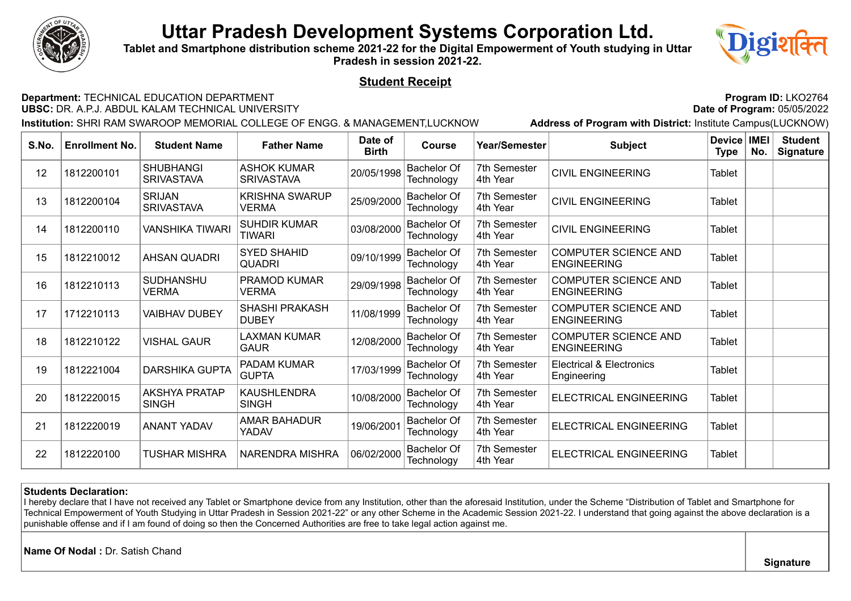

**Tablet and Smartphone distribution scheme 2021-22 for the Digital Empowerment of Youth studying in Uttar Pradesh in session 2021-22.**



### **Student Receipt**

**Department:** TECHNICAL EDUCATION DEPARTMENT **Program Program ID:** LKO2764<br>**UBSC:** DR. A.P.J. ABDUL KALAM TECHNICAL UNIVERSITY **Program**: 05/05/2022 **UBSC: DR. A.P.J. ABDUL KALAM TECHNICAL UNIVERSITY** 

**Institution:** SHRI RAM SWAROOP MEMORIAL COLLEGE OF ENGG. & MANAGEMENT,LUCKNOW **Address of Program with District:** Institute Campus(LUCKNOW)

| S.No. | <b>Enrollment No.</b> | <b>Student Name</b>                   | <b>Father Name</b>                      | Date of<br><b>Birth</b> | <b>Course</b>                    | Year/Semester            | <b>Subject</b>                                     | Device   IMEI<br><b>Type</b> | No. | <b>Student</b><br><b>Signature</b> |
|-------|-----------------------|---------------------------------------|-----------------------------------------|-------------------------|----------------------------------|--------------------------|----------------------------------------------------|------------------------------|-----|------------------------------------|
| 12    | 1812200101            | <b>SHUBHANGI</b><br><b>SRIVASTAVA</b> | <b>ASHOK KUMAR</b><br><b>SRIVASTAVA</b> | 20/05/1998              | <b>Bachelor Of</b><br>Technology | 7th Semester<br>4th Year | <b>CIVIL ENGINEERING</b>                           | Tablet                       |     |                                    |
| 13    | 1812200104            | <b>SRIJAN</b><br><b>SRIVASTAVA</b>    | <b>KRISHNA SWARUP</b><br>VERMA          | 25/09/2000              | <b>Bachelor Of</b><br>Technology | 7th Semester<br>4th Year | <b>CIVIL ENGINEERING</b>                           | Tablet                       |     |                                    |
| 14    | 1812200110            | VANSHIKA TIWARI                       | <b>SUHDIR KUMAR</b><br><b>TIWARI</b>    | 03/08/2000              | <b>Bachelor Of</b><br>Technology | 7th Semester<br>4th Year | <b>CIVIL ENGINEERING</b>                           | Tablet                       |     |                                    |
| 15    | 1812210012            | <b>AHSAN QUADRI</b>                   | <b>SYED SHAHID</b><br><b>QUADRI</b>     | 09/10/1999              | <b>Bachelor Of</b><br>Technology | 7th Semester<br>4th Year | <b>COMPUTER SCIENCE AND</b><br><b>ENGINEERING</b>  | Tablet                       |     |                                    |
| 16    | 1812210113            | <b>SUDHANSHU</b><br><b>VERMA</b>      | PRAMOD KUMAR<br>VERMA                   | 29/09/1998              | <b>Bachelor Of</b><br>Technology | 7th Semester<br>4th Year | <b>COMPUTER SCIENCE AND</b><br><b>ENGINEERING</b>  | Tablet                       |     |                                    |
| 17    | 1712210113            | <b>VAIBHAV DUBEY</b>                  | SHASHI PRAKASH<br><b>DUBEY</b>          | 11/08/1999              | <b>Bachelor Of</b><br>Technology | 7th Semester<br>4th Year | <b>COMPUTER SCIENCE AND</b><br><b>ENGINEERING</b>  | Tablet                       |     |                                    |
| 18    | 1812210122            | <b>VISHAL GAUR</b>                    | LAXMAN KUMAR<br><b>GAUR</b>             | 12/08/2000              | <b>Bachelor Of</b><br>Technology | 7th Semester<br>4th Year | COMPUTER SCIENCE AND<br><b>ENGINEERING</b>         | Tablet                       |     |                                    |
| 19    | 1812221004            | <b>DARSHIKA GUPTA</b>                 | PADAM KUMAR<br><b>GUPTA</b>             | 17/03/1999              | <b>Bachelor Of</b><br>Technology | 7th Semester<br>4th Year | <b>Electrical &amp; Electronics</b><br>Engineering | <b>Tablet</b>                |     |                                    |
| 20    | 1812220015            | <b>AKSHYA PRATAP</b><br><b>SINGH</b>  | <b>KAUSHLENDRA</b><br><b>SINGH</b>      | 10/08/2000              | <b>Bachelor Of</b><br>Technology | 7th Semester<br>4th Year | ELECTRICAL ENGINEERING                             | Tablet                       |     |                                    |
| 21    | 1812220019            | <b>ANANT YADAV</b>                    | AMAR BAHADUR<br>YADAV                   | 19/06/2001              | <b>Bachelor Of</b><br>Technology | 7th Semester<br>4th Year | ELECTRICAL ENGINEERING                             | Tablet                       |     |                                    |
| 22    | 1812220100            | TUSHAR MISHRA                         | NARENDRA MISHRA                         | 06/02/2000              | <b>Bachelor Of</b><br>Technology | 7th Semester<br>4th Year | ELECTRICAL ENGINEERING                             | Tablet                       |     |                                    |

#### **Students Declaration:**

I hereby declare that I have not received any Tablet or Smartphone device from any Institution, other than the aforesaid Institution, under the Scheme "Distribution of Tablet and Smartphone for Technical Empowerment of Youth Studying in Uttar Pradesh in Session 2021-22" or any other Scheme in the Academic Session 2021-22. I understand that going against the above declaration is a punishable offense and if I am found of doing so then the Concerned Authorities are free to take legal action against me.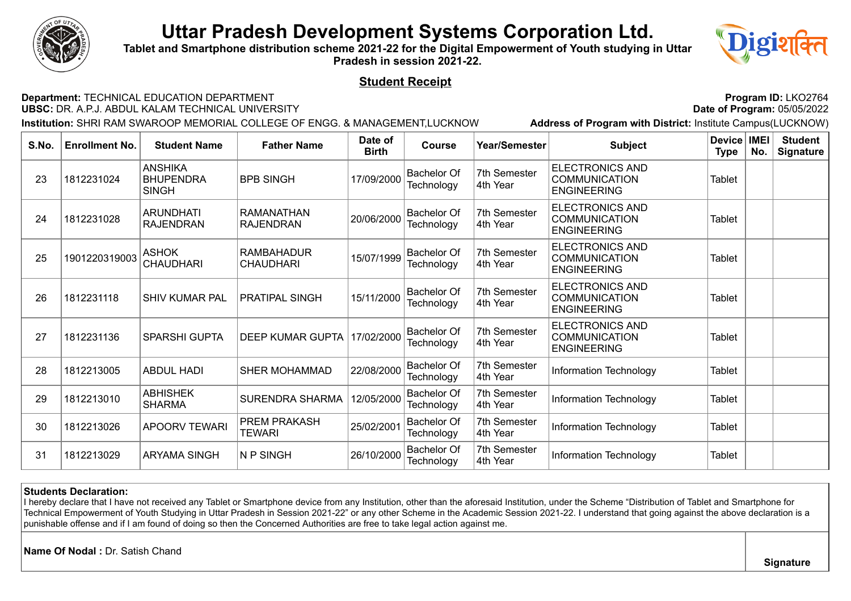

**Tablet and Smartphone distribution scheme 2021-22 for the Digital Empowerment of Youth studying in Uttar Pradesh in session 2021-22.**



### **Student Receipt**

**Department:** TECHNICAL EDUCATION DEPARTMENT **Program Program ID:** LKO2764<br>**UBSC:** DR. A.P.J. ABDUL KALAM TECHNICAL UNIVERSITY **Program**: 05/05/2022 **UBSC: DR. A.P.J. ABDUL KALAM TECHNICAL UNIVERSITY** 

**Institution:** SHRI RAM SWAROOP MEMORIAL COLLEGE OF ENGG. & MANAGEMENT,LUCKNOW **Address of Program with District:** Institute Campus(LUCKNOW)

| S.No. | <b>Enrollment No.</b> | <b>Student Name</b>                                | <b>Father Name</b>                    | Date of<br><b>Birth</b> | <b>Course</b>                    | Year/Semester            | <b>Subject</b>                                                       | Device   IMEI<br>Type | No. | <b>Student</b><br><b>Signature</b> |
|-------|-----------------------|----------------------------------------------------|---------------------------------------|-------------------------|----------------------------------|--------------------------|----------------------------------------------------------------------|-----------------------|-----|------------------------------------|
| 23    | 1812231024            | <b>ANSHIKA</b><br><b>BHUPENDRA</b><br><b>SINGH</b> | <b>BPB SINGH</b>                      | 17/09/2000              | <b>Bachelor Of</b><br>Technology | 7th Semester<br>4th Year | <b>ELECTRONICS AND</b><br><b>COMMUNICATION</b><br><b>ENGINEERING</b> | Tablet                |     |                                    |
| 24    | 1812231028            | <b>ARUNDHATI</b><br><b>RAJENDRAN</b>               | <b>RAMANATHAN</b><br><b>RAJENDRAN</b> | 20/06/2000              | <b>Bachelor Of</b><br>Technology | 7th Semester<br>4th Year | <b>ELECTRONICS AND</b><br><b>COMMUNICATION</b><br><b>ENGINEERING</b> | Tablet                |     |                                    |
| 25    | 1901220319003         | <b>ASHOK</b><br><b>CHAUDHARI</b>                   | RAMBAHADUR<br>CHAUDHARI               | 15/07/1999              | <b>Bachelor Of</b><br>Technology | 7th Semester<br>4th Year | <b>ELECTRONICS AND</b><br><b>COMMUNICATION</b><br><b>ENGINEERING</b> | <b>Tablet</b>         |     |                                    |
| 26    | 1812231118            | <b>SHIV KUMAR PAL</b>                              | <b>PRATIPAL SINGH</b>                 | 15/11/2000              | <b>Bachelor Of</b><br>Technology | 7th Semester<br>4th Year | <b>ELECTRONICS AND</b><br><b>COMMUNICATION</b><br><b>ENGINEERING</b> | Tablet                |     |                                    |
| 27    | 1812231136            | <b>SPARSHI GUPTA</b>                               | <b>DEEP KUMAR GUPTA</b>               | 17/02/2000              | <b>Bachelor Of</b><br>Technology | 7th Semester<br>4th Year | <b>ELECTRONICS AND</b><br><b>COMMUNICATION</b><br><b>ENGINEERING</b> | Tablet                |     |                                    |
| 28    | 1812213005            | <b>ABDUL HADI</b>                                  | <b>SHER MOHAMMAD</b>                  | 22/08/2000              | <b>Bachelor Of</b><br>Technology | 7th Semester<br>4th Year | Information Technology                                               | Tablet                |     |                                    |
| 29    | 1812213010            | <b>ABHISHEK</b><br><b>SHARMA</b>                   | <b>SURENDRA SHARMA</b>                | 12/05/2000              | <b>Bachelor Of</b><br>Technology | 7th Semester<br>4th Year | Information Technology                                               | Tablet                |     |                                    |
| 30    | 1812213026            | <b>APOORV TEWARI</b>                               | <b>PREM PRAKASH</b><br>TEWARI         | 25/02/2001              | <b>Bachelor Of</b><br>Technology | 7th Semester<br>4th Year | Information Technology                                               | Tablet                |     |                                    |
| 31    | 1812213029            | <b>ARYAMA SINGH</b>                                | N P SINGH                             | 26/10/2000              | <b>Bachelor Of</b><br>Technology | 7th Semester<br>4th Year | Information Technology                                               | Tablet                |     |                                    |

#### **Students Declaration:**

I hereby declare that I have not received any Tablet or Smartphone device from any Institution, other than the aforesaid Institution, under the Scheme "Distribution of Tablet and Smartphone for Technical Empowerment of Youth Studying in Uttar Pradesh in Session 2021-22" or any other Scheme in the Academic Session 2021-22. I understand that going against the above declaration is a punishable offense and if I am found of doing so then the Concerned Authorities are free to take legal action against me.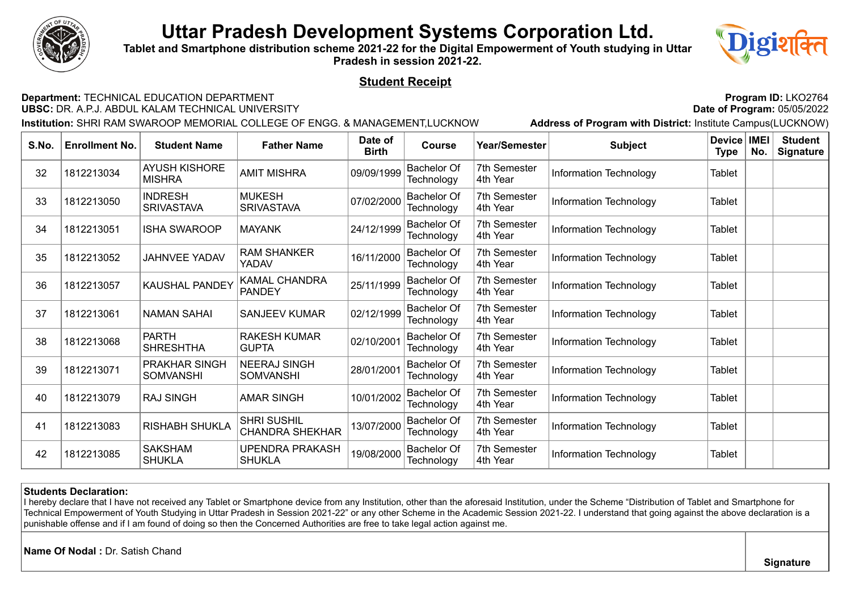

**Tablet and Smartphone distribution scheme 2021-22 for the Digital Empowerment of Youth studying in Uttar Pradesh in session 2021-22.**



### **Student Receipt**

**Department:** TECHNICAL EDUCATION DEPARTMENT **Program Program ID:** LKO2764<br>**UBSC:** DR. A.P.J. ABDUL KALAM TECHNICAL UNIVERSITY **Program**: 05/05/2022 **UBSC: DR. A.P.J. ABDUL KALAM TECHNICAL UNIVERSITY** 

**Institution:** SHRI RAM SWAROOP MEMORIAL COLLEGE OF ENGG. & MANAGEMENT,LUCKNOW **Address of Program with District:** Institute Campus(LUCKNOW)

| S.No. | <b>Enrollment No.</b> | <b>Student Name</b>                   | <b>Father Name</b>                           | Date of<br><b>Birth</b> | <b>Course</b>                    | Year/Semester            | <b>Subject</b>         | <b>Device</b><br>Type | <b>IMEI</b><br>No. | <b>Student</b><br><b>Signature</b> |
|-------|-----------------------|---------------------------------------|----------------------------------------------|-------------------------|----------------------------------|--------------------------|------------------------|-----------------------|--------------------|------------------------------------|
| 32    | 1812213034            | <b>AYUSH KISHORE</b><br><b>MISHRA</b> | <b>AMIT MISHRA</b>                           | 09/09/1999              | <b>Bachelor Of</b><br>Technology | 7th Semester<br>4th Year | Information Technology | Tablet                |                    |                                    |
| 33    | 1812213050            | <b>INDRESH</b><br><b>SRIVASTAVA</b>   | <b>MUKESH</b><br><b>SRIVASTAVA</b>           | 07/02/2000              | <b>Bachelor Of</b><br>Technology | 7th Semester<br>4th Year | Information Technology | Tablet                |                    |                                    |
| 34    | 1812213051            | <b>ISHA SWAROOP</b>                   | <b>MAYANK</b>                                | 24/12/1999              | <b>Bachelor Of</b><br>Technology | 7th Semester<br>4th Year | Information Technology | Tablet                |                    |                                    |
| 35    | 1812213052            | JAHNVEE YADAV                         | <b>RAM SHANKER</b><br>YADAV                  | 16/11/2000              | <b>Bachelor Of</b><br>Technology | 7th Semester<br>4th Year | Information Technology | Tablet                |                    |                                    |
| 36    | 1812213057            | <b>KAUSHAL PANDEY</b>                 | KAMAL CHANDRA<br><b>PANDEY</b>               | 25/11/1999              | <b>Bachelor Of</b><br>Technology | 7th Semester<br>4th Year | Information Technology | Tablet                |                    |                                    |
| 37    | 1812213061            | <b>NAMAN SAHAI</b>                    | <b>SANJEEV KUMAR</b>                         | 02/12/1999              | <b>Bachelor Of</b><br>Technology | 7th Semester<br>4th Year | Information Technology | Tablet                |                    |                                    |
| 38    | 1812213068            | <b>PARTH</b><br><b>SHRESHTHA</b>      | <b>RAKESH KUMAR</b><br><b>GUPTA</b>          | 02/10/2001              | <b>Bachelor Of</b><br>Technology | 7th Semester<br>4th Year | Information Technology | <b>Tablet</b>         |                    |                                    |
| 39    | 1812213071            | PRAKHAR SINGH<br><b>SOMVANSHI</b>     | <b>NEERAJ SINGH</b><br><b>SOMVANSHI</b>      | 28/01/2001              | <b>Bachelor Of</b><br>Technology | 7th Semester<br>4th Year | Information Technology | <b>Tablet</b>         |                    |                                    |
| 40    | 1812213079            | <b>RAJ SINGH</b>                      | <b>AMAR SINGH</b>                            | 10/01/2002              | <b>Bachelor Of</b><br>Technology | 7th Semester<br>4th Year | Information Technology | Tablet                |                    |                                    |
| 41    | 1812213083            | <b>RISHABH SHUKLA</b>                 | <b>SHRI SUSHIL</b><br><b>CHANDRA SHEKHAR</b> | 13/07/2000              | <b>Bachelor Of</b><br>Technology | 7th Semester<br>4th Year | Information Technology | Tablet                |                    |                                    |
| 42    | 1812213085            | <b>SAKSHAM</b><br><b>SHUKLA</b>       | UPENDRA PRAKASH<br><b>SHUKLA</b>             | 19/08/2000              | <b>Bachelor Of</b><br>Technology | 7th Semester<br>4th Year | Information Technology | Tablet                |                    |                                    |

#### **Students Declaration:**

I hereby declare that I have not received any Tablet or Smartphone device from any Institution, other than the aforesaid Institution, under the Scheme "Distribution of Tablet and Smartphone for Technical Empowerment of Youth Studying in Uttar Pradesh in Session 2021-22" or any other Scheme in the Academic Session 2021-22. I understand that going against the above declaration is a punishable offense and if I am found of doing so then the Concerned Authorities are free to take legal action against me.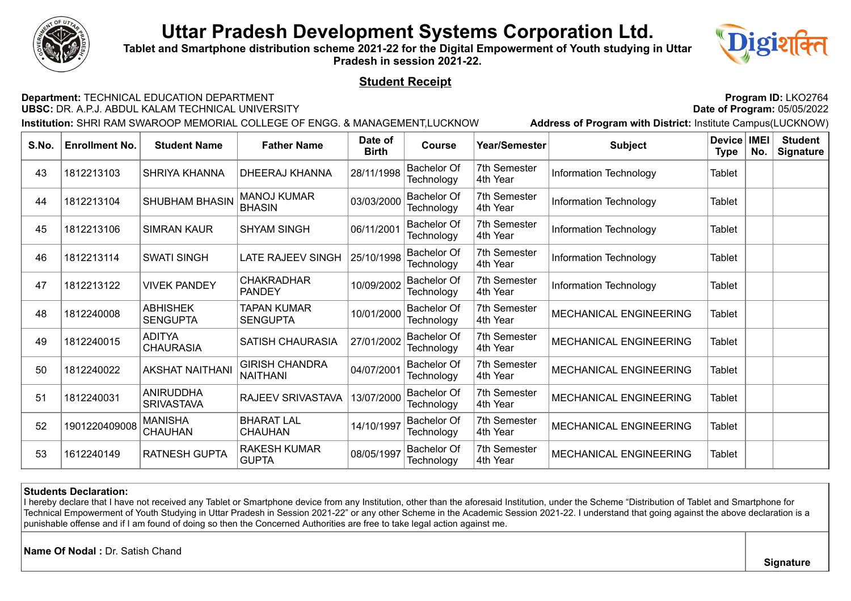

**Tablet and Smartphone distribution scheme 2021-22 for the Digital Empowerment of Youth studying in Uttar Pradesh in session 2021-22.**



### **Student Receipt**

#### **Department:** TECHNICAL EDUCATION DEPARTMENT<br>**UBSC:** DR. A.P.J. ABDUL KALAM TECHNICAL UNIVERSITY **Program Program Program**: 05/05/2022 **UBSC: DR. A.P.J. ABDUL KALAM TECHNICAL UNIVERSITY**

**Institution:** SHRI RAM SWAROOP MEMORIAL COLLEGE OF ENGG. & MANAGEMENT,LUCKNOW **Address of Program with District:** Institute Campus(LUCKNOW)

| S.No. | <b>Enrollment No.</b> | <b>Student Name</b>                   | <b>Father Name</b>                       | Date of<br><b>Birth</b> | <b>Course</b>                    | Year/Semester                   | <b>Subject</b>         | Device   IMEI<br>Type | No. | <b>Student</b><br><b>Signature</b> |
|-------|-----------------------|---------------------------------------|------------------------------------------|-------------------------|----------------------------------|---------------------------------|------------------------|-----------------------|-----|------------------------------------|
| 43    | 1812213103            | <b>SHRIYA KHANNA</b>                  | DHEERAJ KHANNA                           | 28/11/1998              | <b>Bachelor Of</b><br>Technology | 7th Semester<br>4th Year        | Information Technology | Tablet                |     |                                    |
| 44    | 1812213104            | <b>SHUBHAM BHASIN</b>                 | <b>MANOJ KUMAR</b><br><b>BHASIN</b>      | 03/03/2000              | <b>Bachelor Of</b><br>Technology | 7th Semester<br>4th Year        | Information Technology | <b>Tablet</b>         |     |                                    |
| 45    | 1812213106            | <b>SIMRAN KAUR</b>                    | <b>SHYAM SINGH</b>                       | 06/11/2001              | <b>Bachelor Of</b><br>Technology | 7th Semester<br>4th Year        | Information Technology | <b>Tablet</b>         |     |                                    |
| 46    | 1812213114            | <b>SWATI SINGH</b>                    | LATE RAJEEV SINGH                        | 25/10/1998              | <b>Bachelor Of</b><br>Technology | 7th Semester<br>4th Year        | Information Technology | Tablet                |     |                                    |
| 47    | 1812213122            | <b>VIVEK PANDEY</b>                   | <b>CHAKRADHAR</b><br><b>PANDEY</b>       | 10/09/2002              | <b>Bachelor Of</b><br>Technology | 7th Semester<br>4th Year        | Information Technology | Tablet                |     |                                    |
| 48    | 1812240008            | <b>ABHISHEK</b><br><b>SENGUPTA</b>    | TAPAN KUMAR<br><b>SENGUPTA</b>           | 10/01/2000              | <b>Bachelor Of</b><br>Technology | 7th Semester<br>4th Year        | MECHANICAL ENGINEERING | Tablet                |     |                                    |
| 49    | 1812240015            | <b>ADITYA</b><br><b>CHAURASIA</b>     | <b>SATISH CHAURASIA</b>                  | 27/01/2002              | <b>Bachelor Of</b><br>Technology | 7th Semester<br>4th Year        | MECHANICAL ENGINEERING | Tablet                |     |                                    |
| 50    | 1812240022            | <b>AKSHAT NAITHANI</b>                | <b>GIRISH CHANDRA</b><br><b>NAITHANI</b> | 04/07/2001              | <b>Bachelor Of</b><br>Technology | 7th Semester<br>4th Year        | MECHANICAL ENGINEERING | <b>Tablet</b>         |     |                                    |
| 51    | 1812240031            | <b>ANIRUDDHA</b><br><b>SRIVASTAVA</b> | RAJEEV SRIVASTAVA                        | 13/07/2000              | <b>Bachelor Of</b><br>Technology | 7th Semester<br>4th Year        | MECHANICAL ENGINEERING | <b>Tablet</b>         |     |                                    |
| 52    | 1901220409008         | <b>MANISHA</b><br><b>CHAUHAN</b>      | <b>BHARAT LAL</b><br><b>CHAUHAN</b>      | 14/10/1997              | <b>Bachelor Of</b><br>Technology | 7th Semester<br>4th Year        | MECHANICAL ENGINEERING | Tablet                |     |                                    |
| 53    | 1612240149            | <b>RATNESH GUPTA</b>                  | <b>RAKESH KUMAR</b><br><b>GUPTA</b>      | 08/05/1997              | <b>Bachelor Of</b><br>Technology | <b>7th Semester</b><br>4th Year | MECHANICAL ENGINEERING | <b>Tablet</b>         |     |                                    |

#### **Students Declaration:**

I hereby declare that I have not received any Tablet or Smartphone device from any Institution, other than the aforesaid Institution, under the Scheme "Distribution of Tablet and Smartphone for Technical Empowerment of Youth Studying in Uttar Pradesh in Session 2021-22" or any other Scheme in the Academic Session 2021-22. I understand that going against the above declaration is a punishable offense and if I am found of doing so then the Concerned Authorities are free to take legal action against me.